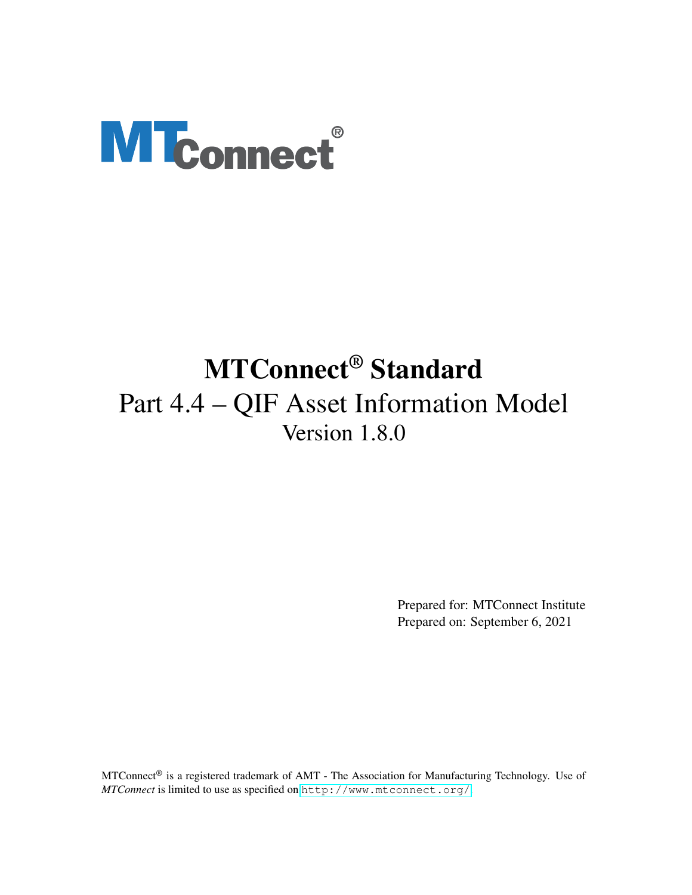# <span id="page-0-0"></span>**MTconnect®**

# MTConnect® Standard Part 4.4 – QIF Asset Information Model Version 1.8.0

Prepared for: MTConnect Institute Prepared on: September 6, 2021

MTConnect® is a registered trademark of AMT - The Association for Manufacturing Technology. Use of *MTConnect* is limited to use as specified on <http://www.mtconnect.org/>.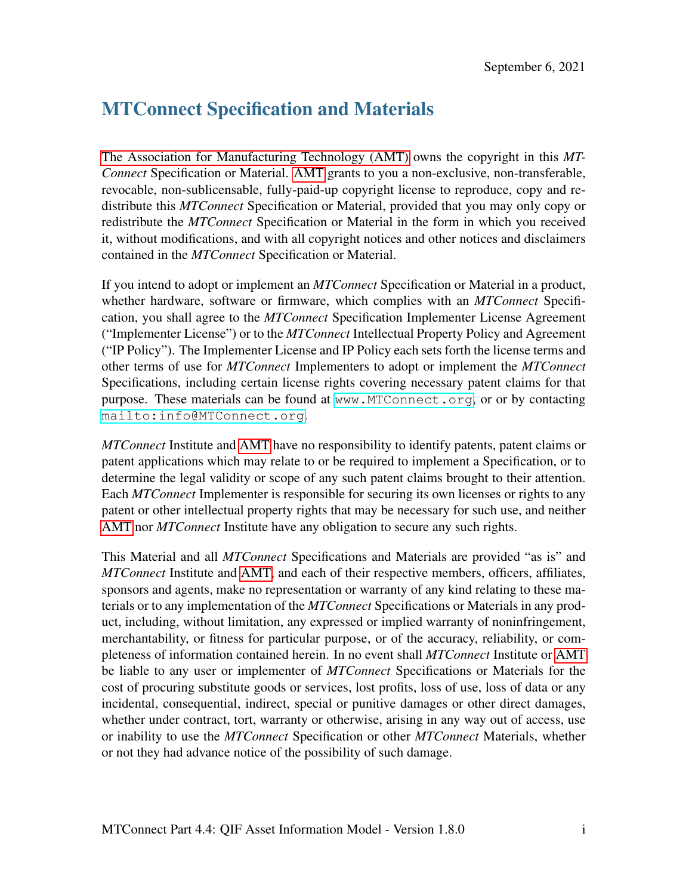# MTConnect Specification and Materials

[The Association for Manufacturing Technology \(AMT\)](#page-9-0) owns the copyright in this *MT-Connect* Specification or Material. [AMT](#page-9-0) grants to you a non-exclusive, non-transferable, revocable, non-sublicensable, fully-paid-up copyright license to reproduce, copy and redistribute this *MTConnect* Specification or Material, provided that you may only copy or redistribute the *MTConnect* Specification or Material in the form in which you received it, without modifications, and with all copyright notices and other notices and disclaimers contained in the *MTConnect* Specification or Material.

If you intend to adopt or implement an *MTConnect* Specification or Material in a product, whether hardware, software or firmware, which complies with an *MTConnect* Specification, you shall agree to the *MTConnect* Specification Implementer License Agreement ("Implementer License") or to the *MTConnect* Intellectual Property Policy and Agreement ("IP Policy"). The Implementer License and IP Policy each sets forth the license terms and other terms of use for *MTConnect* Implementers to adopt or implement the *MTConnect* Specifications, including certain license rights covering necessary patent claims for that purpose. These materials can be found at <www.MTConnect.org>, or or by contacting <mailto:info@MTConnect.org>.

*MTConnect* Institute and [AMT](#page-9-0) have no responsibility to identify patents, patent claims or patent applications which may relate to or be required to implement a Specification, or to determine the legal validity or scope of any such patent claims brought to their attention. Each *MTConnect* Implementer is responsible for securing its own licenses or rights to any patent or other intellectual property rights that may be necessary for such use, and neither [AMT](#page-9-0) nor *MTConnect* Institute have any obligation to secure any such rights.

This Material and all *MTConnect* Specifications and Materials are provided "as is" and *MTConnect* Institute and [AMT,](#page-9-0) and each of their respective members, officers, affiliates, sponsors and agents, make no representation or warranty of any kind relating to these materials or to any implementation of the *MTConnect* Specifications or Materials in any product, including, without limitation, any expressed or implied warranty of noninfringement, merchantability, or fitness for particular purpose, or of the accuracy, reliability, or completeness of information contained herein. In no event shall *MTConnect* Institute or [AMT](#page-9-0) be liable to any user or implementer of *MTConnect* Specifications or Materials for the cost of procuring substitute goods or services, lost profits, loss of use, loss of data or any incidental, consequential, indirect, special or punitive damages or other direct damages, whether under contract, tort, warranty or otherwise, arising in any way out of access, use or inability to use the *MTConnect* Specification or other *MTConnect* Materials, whether or not they had advance notice of the possibility of such damage.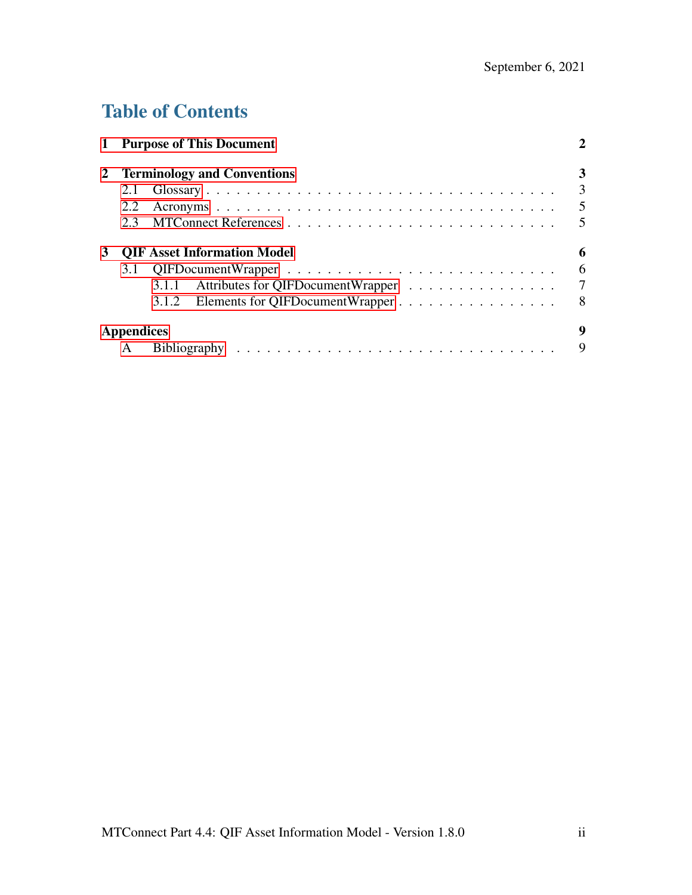# Table of Contents

|   |                                    | 1 Purpose of This Document                 |                         |  |
|---|------------------------------------|--------------------------------------------|-------------------------|--|
| 2 | <b>Terminology and Conventions</b> |                                            |                         |  |
|   | 2.1                                |                                            | 3                       |  |
|   | 2.2                                |                                            | 5                       |  |
|   | 2.3                                |                                            | $\overline{\mathbf{5}}$ |  |
| 3 |                                    | <b>QIF Asset Information Model</b>         | 6                       |  |
|   |                                    |                                            | 6                       |  |
|   |                                    | Attributes for QIFDocumentWrapper<br>3.1.1 | 7                       |  |
|   |                                    | Elements for QIFDocumentWrapper<br>3.1.2   | - 8                     |  |
|   | <b>Appendices</b>                  |                                            | 9                       |  |
|   | A                                  |                                            | 9                       |  |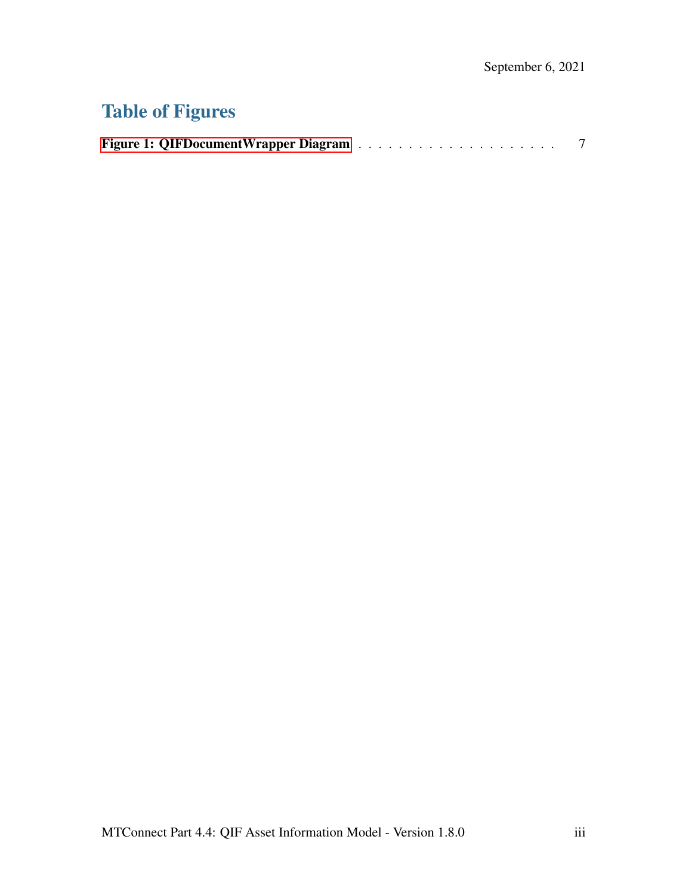# Table of Figures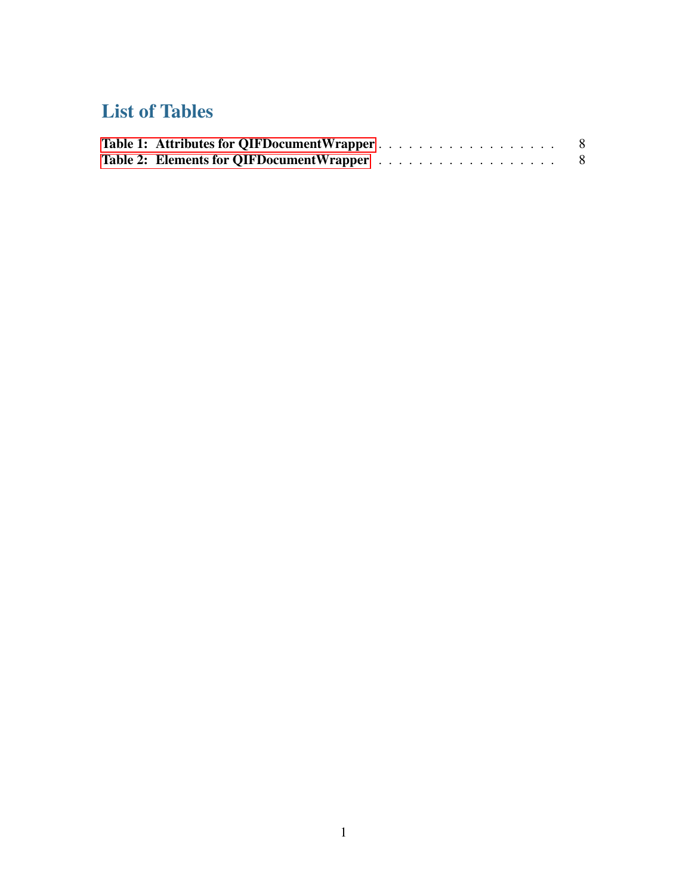# List of Tables

<span id="page-4-0"></span>

| Table 1: Attributes for QIFDocumentWrapper |  |
|--------------------------------------------|--|
|                                            |  |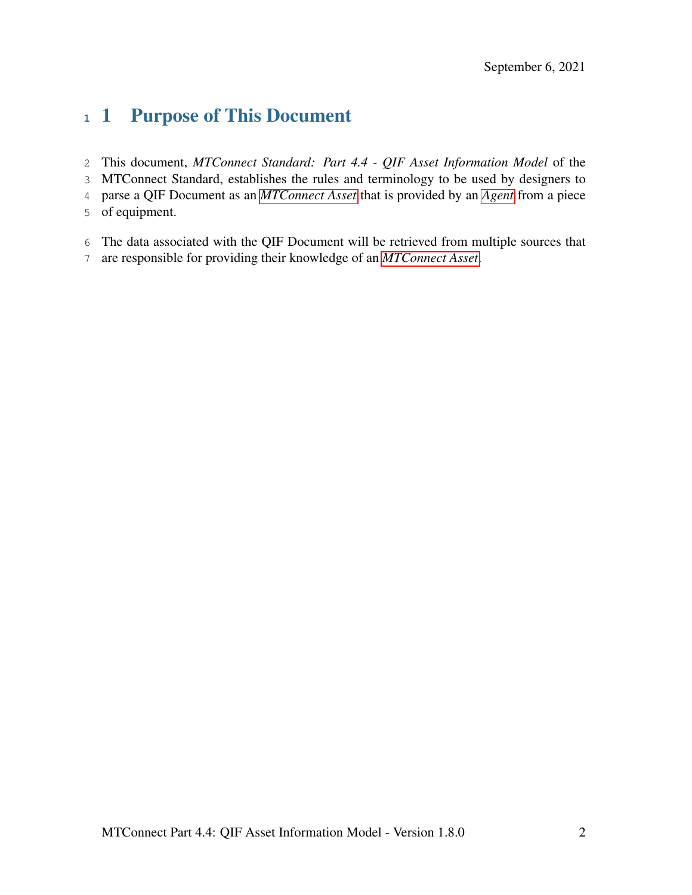# 1 Purpose of This Document

- This document, *MTConnect Standard: Part 4.4 QIF Asset Information Model* of the
- MTConnect Standard, establishes the rules and terminology to be used by designers to
- parse a QIF Document as an *[MTConnect Asset](#page-7-0)* that is provided by an *[Agent](#page-6-1)* from a piece
- of equipment.
- The data associated with the QIF Document will be retrieved from multiple sources that
- <span id="page-5-0"></span>are responsible for providing their knowledge of an *[MTConnect Asset](#page-7-0)*.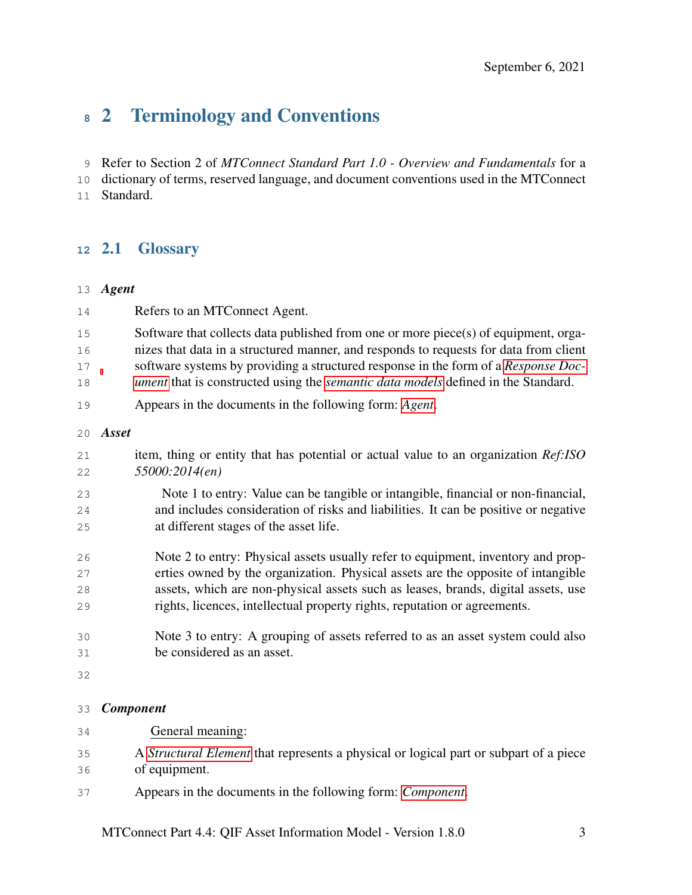# 2 Terminology and Conventions

Refer to Section 2 of *MTConnect Standard Part 1.0 - Overview and Fundamentals* for a

dictionary of terms, reserved language, and document conventions used in the MTConnect

<span id="page-6-0"></span>Standard.

## 2.1 Glossary

#### <span id="page-6-1"></span>*Agent*

- Refers to an MTConnect Agent. 15 Software that collects data published from one or more piece(s) of equipment, orga- nizes that data in a structured manner, and responds to requests for data from client software systems by providing a structured response in the form of a *[Response Doc-](#page-9-3) [ument](#page-9-3)* that is constructed using the *[semantic data models](#page-9-4)* defined in the Standard. Appears in the documents in the following form: *[Agent](#page-6-1)*. *Asset* item, thing or entity that has potential or actual value to an organization *Ref:ISO 55000:2014(en)*
- <span id="page-6-3"></span> Note 1 to entry: Value can be tangible or intangible, financial or non-financial, and includes consideration of risks and liabilities. It can be positive or negative at different stages of the asset life.
- Note 2 to entry: Physical assets usually refer to equipment, inventory and prop- erties owned by the organization. Physical assets are the opposite of intangible assets, which are non-physical assets such as leases, brands, digital assets, use rights, licences, intellectual property rights, reputation or agreements.
- Note 3 to entry: A grouping of assets referred to as an asset system could also be considered as an asset.
- 

#### <span id="page-6-2"></span>*Component*

| 34 | General meaning:                                                                             |
|----|----------------------------------------------------------------------------------------------|
| 35 | A <i>Structural Element</i> that represents a physical or logical part or subpart of a piece |
| 36 | of equipment.                                                                                |
| 37 | Appears in the documents in the following form: <i>Component</i> .                           |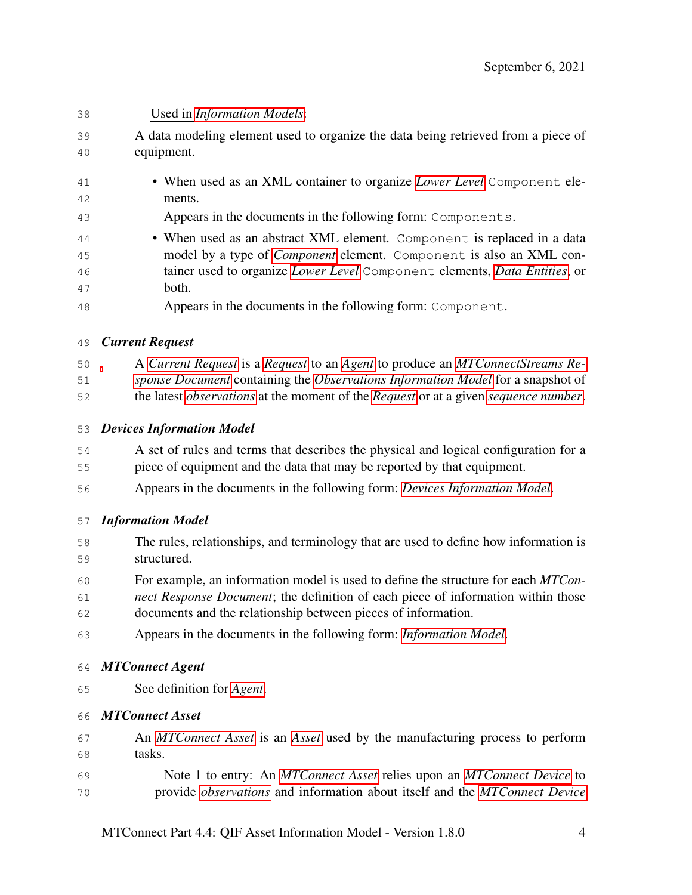<span id="page-7-4"></span><span id="page-7-3"></span><span id="page-7-2"></span><span id="page-7-1"></span><span id="page-7-0"></span>

| 38       | Used in <i>Information Models</i> :                                                                       |
|----------|-----------------------------------------------------------------------------------------------------------|
| 39       | A data modeling element used to organize the data being retrieved from a piece of                         |
| 40       | equipment.                                                                                                |
| 41       | • When used as an XML container to organize Lower Level Component ele-                                    |
| 42       | ments.                                                                                                    |
| 43       | Appears in the documents in the following form: Components.                                               |
| 44       | • When used as an abstract XML element. Component is replaced in a data                                   |
| 45       | model by a type of <i>Component</i> element. Component is also an XML con-                                |
| 46<br>47 | tainer used to organize Lower Level Component elements, Data Entities, or<br>both.                        |
| 48       | Appears in the documents in the following form: Component.                                                |
| 49       | <b>Current Request</b>                                                                                    |
| 50       | A Current Request is a Request to an Agent to produce an MTConnectStreams Re-                             |
| 51       | sponse Document containing the Observations Information Model for a snapshot of                           |
| 52       | the latest <i>observations</i> at the moment of the <i>Request</i> or at a given <i>sequence number</i> . |
| 53       | <b>Devices Information Model</b>                                                                          |
| 54       | A set of rules and terms that describes the physical and logical configuration for a                      |
| 55       | piece of equipment and the data that may be reported by that equipment.                                   |
| 56       | Appears in the documents in the following form: Devices Information Model.                                |
| 57       | <b>Information Model</b>                                                                                  |
| 58       | The rules, relationships, and terminology that are used to define how information is                      |
| 59       | structured.                                                                                               |
| 60       | For example, an information model is used to define the structure for each MTCon-                         |
| 61       | nect Response Document; the definition of each piece of information within those                          |
| 62       | documents and the relationship between pieces of information.                                             |
| 63       | Appears in the documents in the following form: Information Model.                                        |
| 64       | <b>MTConnect Agent</b>                                                                                    |
| 65       | See definition for <i>Agent</i> .                                                                         |
| 66       | <b>MTConnect Asset</b>                                                                                    |
| 67       | An MTConnect Asset is an Asset used by the manufacturing process to perform                               |
| 68       | tasks.                                                                                                    |
| 69       | Note 1 to entry: An MTConnect Asset relies upon an MTConnect Device to                                    |
| 70       | provide observations and information about itself and the MTConnect Device                                |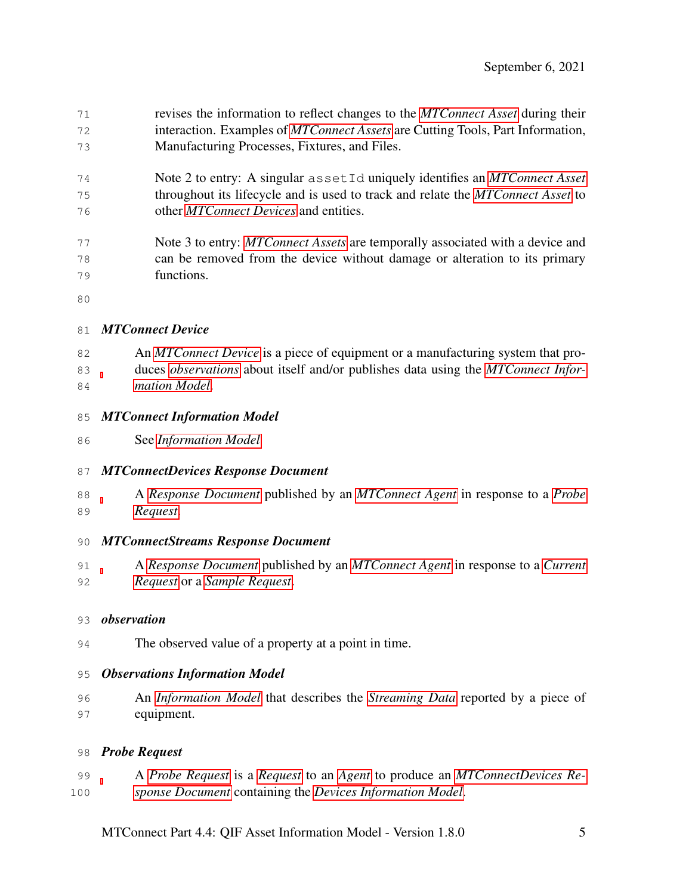revises the information to reflect changes to the *[MTConnect Asset](#page-7-0)* during their interaction. Examples of *[MTConnect Assets](#page-7-0)* are Cutting Tools, Part Information, Manufacturing Processes, Fixtures, and Files.

- Note 2 to entry: A singular assetId uniquely identifies an *[MTConnect Asset](#page-7-0)* throughout its lifecycle and is used to track and relate the *[MTConnect Asset](#page-7-0)* to other *[MTConnect Devices](#page-8-3)* and entities.
- Note 3 to entry: *[MTConnect Assets](#page-7-0)* are temporally associated with a device and can be removed from the device without damage or alteration to its primary functions.
- 

#### <span id="page-8-3"></span>*MTConnect Device*

- An *[MTConnect Device](#page-8-3)* is a piece of equipment or a manufacturing system that pro- duces *[observations](#page-8-2)* about itself and/or publishes data using the *[MTConnect Infor-](#page-8-4)[mation Model](#page-8-4)*.
- <span id="page-8-4"></span>*MTConnect Information Model*
- See *[Information Model](#page-7-1)*

#### <span id="page-8-6"></span>*MTConnectDevices Response Document*

 A *[Response Document](#page-9-3)* published by an *[MTConnect Agent](#page-7-4)* in response to a *[Probe](#page-8-5) [Request](#page-8-5)*.

#### <span id="page-8-0"></span>*MTConnectStreams Response Document*

 A *[Response Document](#page-9-3)* published by an *[MTConnect Agent](#page-7-4)* in response to a *[Current](#page-7-2) [Request](#page-7-2)* or a *[Sample Request](#page-9-7)*.

#### <span id="page-8-2"></span>*observation*

The observed value of a property at a point in time.

#### <span id="page-8-1"></span>*Observations Information Model*

 An *[Information Model](#page-7-1)* that describes the *[Streaming Data](#page-0-0)* reported by a piece of equipment.

#### <span id="page-8-5"></span>*Probe Request*

 A *[Probe Request](#page-8-5)* is a *[Request](#page-9-5)* to an *[Agent](#page-6-1)* to produce an *[MTConnectDevices Re-](#page-8-6)[sponse Document](#page-8-6)* containing the *[Devices Information Model](#page-7-3)*.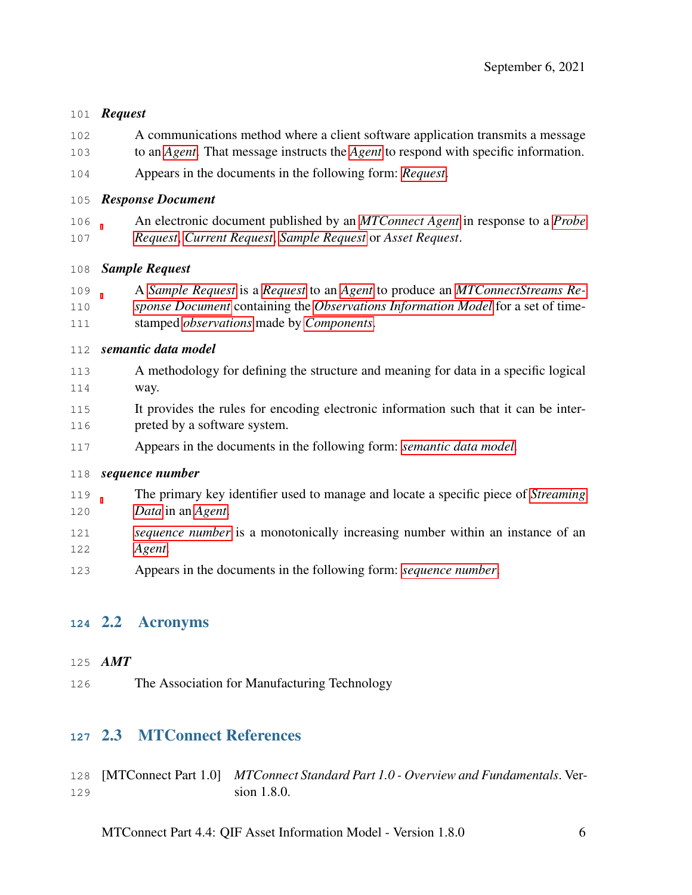#### <span id="page-9-5"></span>*Request*

- A communications method where a client software application transmits a message
- to an *[Agent](#page-6-1)*. That message instructs the *[Agent](#page-6-1)* to respond with specific information.
- Appears in the documents in the following form: *[Request](#page-9-5)*.

#### <span id="page-9-3"></span>*Response Document*

 An electronic document published by an *[MTConnect Agent](#page-7-4)* in response to a *[Probe](#page-8-5) [Request](#page-8-5)*, *[Current Request](#page-7-2)*, *[Sample Request](#page-9-7)* or *Asset Request*.

#### <span id="page-9-7"></span>*Sample Request*

 A *[Sample Request](#page-9-7)* is a *[Request](#page-9-5)* to an *[Agent](#page-6-1)* to produce an *[MTConnectStreams Re-](#page-8-0) [sponse Document](#page-8-0)* containing the *[Observations Information Model](#page-8-1)* for a set of time-stamped *[observations](#page-8-2)* made by *[Components](#page-6-2)*.

#### <span id="page-9-4"></span>*semantic data model*

- A methodology for defining the structure and meaning for data in a specific logical way.
- It provides the rules for encoding electronic information such that it can be inter-preted by a software system.
- Appears in the documents in the following form: *[semantic data model](#page-9-4)*.

#### <span id="page-9-6"></span>*sequence number*

- The primary key identifier used to manage and locate a specific piece of *[Streaming](#page-0-0) [Data](#page-0-0)* in an *[Agent](#page-6-1)*.
- *[sequence number](#page-9-6)* is a monotonically increasing number within an instance of an *[Agent](#page-6-1)*.
- <span id="page-9-1"></span>Appears in the documents in the following form: *[sequence number](#page-9-6)*.

## 2.2 Acronyms

#### <span id="page-9-0"></span>*AMT*

<span id="page-9-2"></span>The Association for Manufacturing Technology

## 2.3 MTConnect References

 [MTConnect Part 1.0] *MTConnect Standard Part 1.0 - Overview and Fundamentals*. Ver-sion 1.8.0.

MTConnect Part 4.4: QIF Asset Information Model - Version 1.8.0 6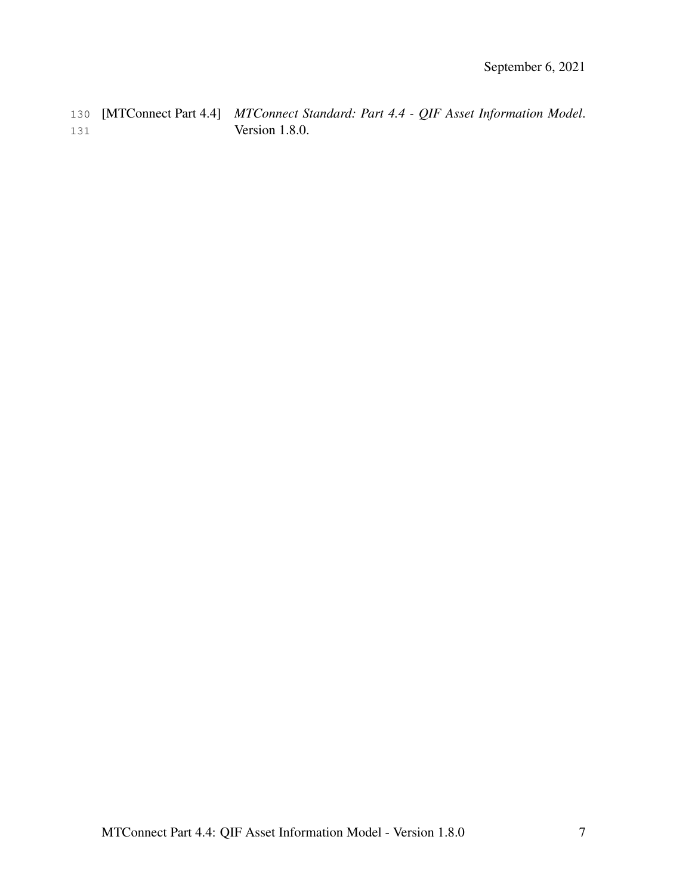<span id="page-10-0"></span>130 [MTConnect Part 4.4] *MTConnect Standard: Part 4.4 - QIF Asset Information Model*. 131 Version 1.8.0.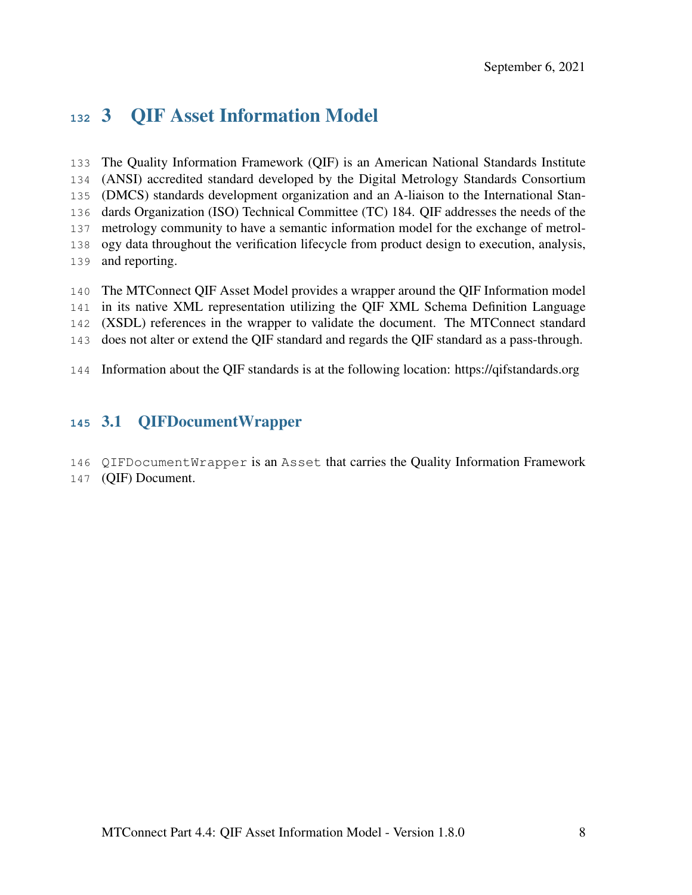# 3 QIF Asset Information Model

 The Quality Information Framework (QIF) is an American National Standards Institute (ANSI) accredited standard developed by the Digital Metrology Standards Consortium (DMCS) standards development organization and an A-liaison to the International Stan- dards Organization (ISO) Technical Committee (TC) 184. QIF addresses the needs of the metrology community to have a semantic information model for the exchange of metrol- ogy data throughout the verification lifecycle from product design to execution, analysis, and reporting.

- The MTConnect QIF Asset Model provides a wrapper around the QIF Information model in its native XML representation utilizing the QIF XML Schema Definition Language (XSDL) references in the wrapper to validate the document. The MTConnect standard does not alter or extend the QIF standard and regards the QIF standard as a pass-through.
- <span id="page-11-0"></span>Information about the QIF standards is at the following location: https://qifstandards.org

## 3.1 QIFDocumentWrapper

- QIFDocumentWrapper is an Asset that carries the Quality Information Framework
- (QIF) Document.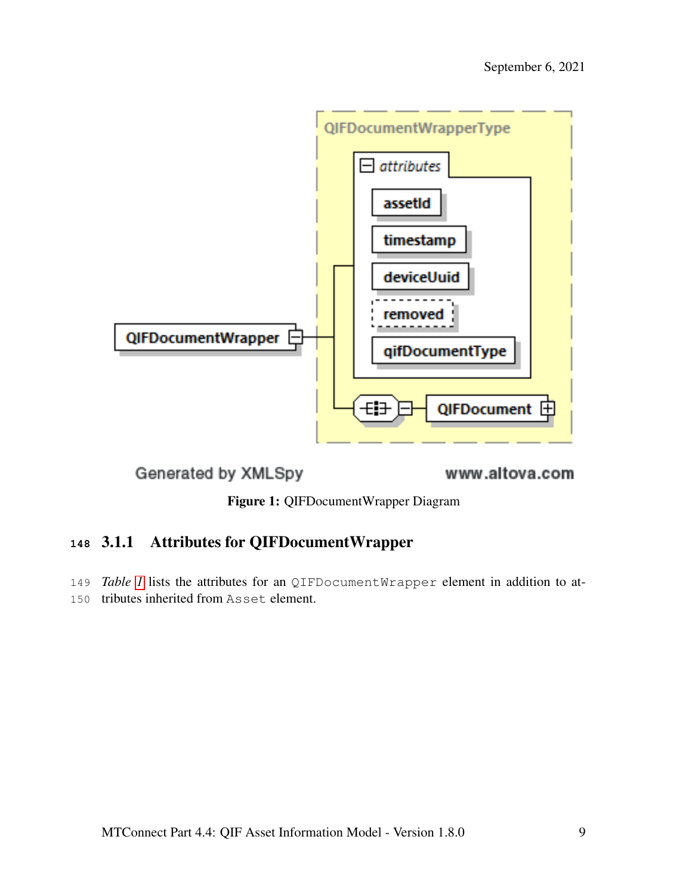<span id="page-12-1"></span>

Generated by XMLSpy

www.altova.com

Figure 1: QIFDocumentWrapper Diagram

# <span id="page-12-0"></span>**<sup>148</sup>** 3.1.1 Attributes for QIFDocumentWrapper

<span id="page-12-2"></span>149 *Table [1](#page-12-2)* lists the attributes for an QIFDocumentWrapper element in addition to at-150 tributes inherited from Asset element.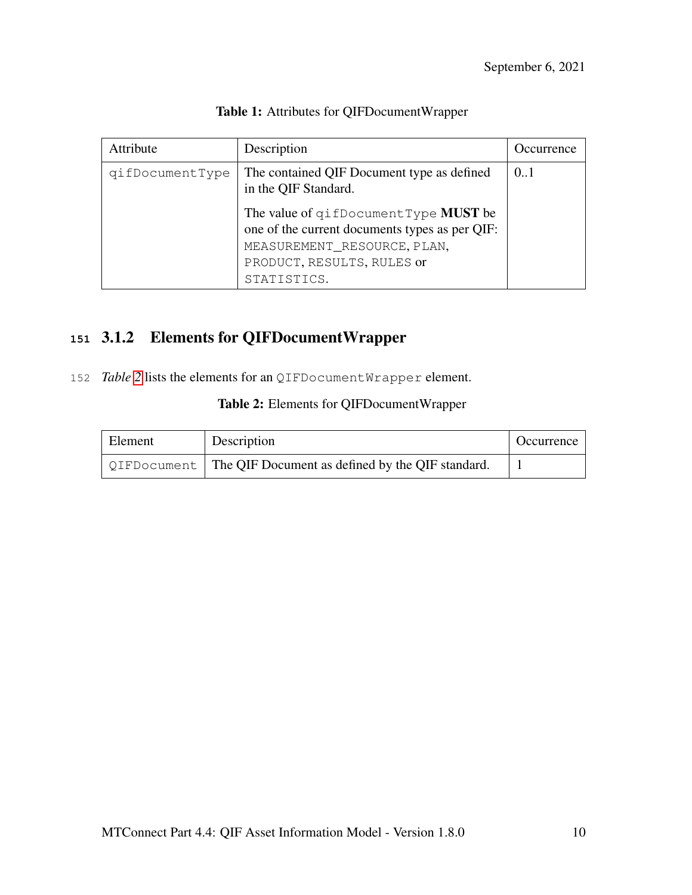| Attribute       | Description                                                                                                                                                        | Occurrence |
|-----------------|--------------------------------------------------------------------------------------------------------------------------------------------------------------------|------------|
| qifDocumentType | The contained QIF Document type as defined<br>in the QIF Standard.                                                                                                 | 0.1        |
|                 | The value of gifDocumentType MUST be<br>one of the current documents types as per QIF:<br>MEASUREMENT_RESOURCE, PLAN,<br>PRODUCT, RESULTS, RULES or<br>STATISTICS. |            |

#### Table 1: Attributes for QIFDocumentWrapper

# <span id="page-13-0"></span>**<sup>151</sup>** 3.1.2 Elements for QIFDocumentWrapper

<span id="page-13-1"></span>152 *Table* [2](#page-13-1) lists the elements for an QIFDocumentWrapper element.

| Element | Description                                                          | Occurrence |
|---------|----------------------------------------------------------------------|------------|
|         | QIFDocument $\vert$ The QIF Document as defined by the QIF standard. |            |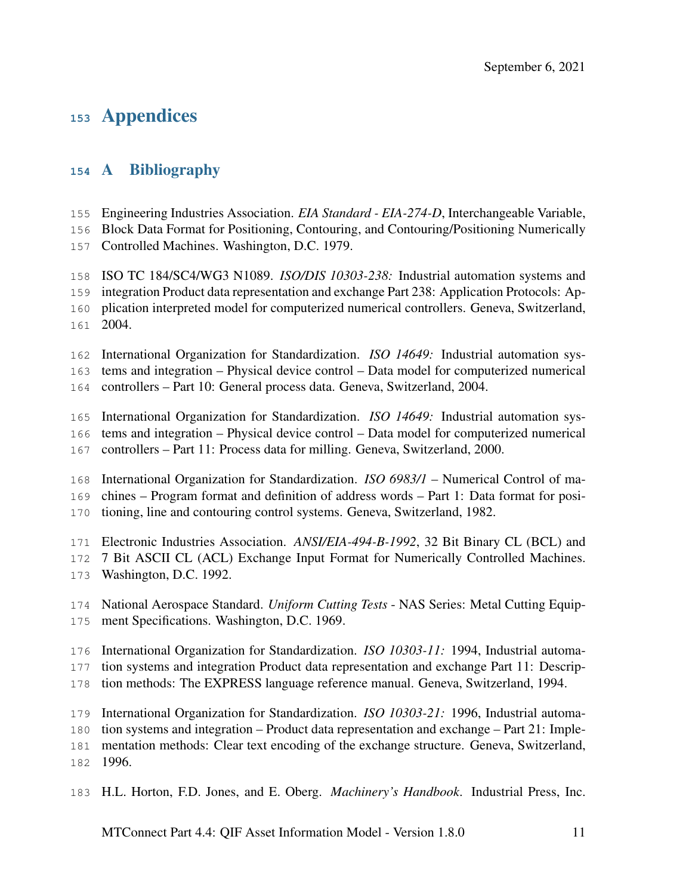# Appendices

## <span id="page-14-0"></span>A Bibliography

Engineering Industries Association. *EIA Standard - EIA-274-D*, Interchangeable Variable,

Block Data Format for Positioning, Contouring, and Contouring/Positioning Numerically

Controlled Machines. Washington, D.C. 1979.

ISO TC 184/SC4/WG3 N1089. *ISO/DIS 10303-238:* Industrial automation systems and

integration Product data representation and exchange Part 238: Application Protocols: Ap-

- plication interpreted model for computerized numerical controllers. Geneva, Switzerland, 2004.
- International Organization for Standardization. *ISO 14649:* Industrial automation sys-

tems and integration – Physical device control – Data model for computerized numerical

controllers – Part 10: General process data. Geneva, Switzerland, 2004.

International Organization for Standardization. *ISO 14649:* Industrial automation sys-

- tems and integration Physical device control Data model for computerized numerical
- controllers Part 11: Process data for milling. Geneva, Switzerland, 2000.

International Organization for Standardization. *ISO 6983/1* – Numerical Control of ma-

chines – Program format and definition of address words – Part 1: Data format for posi-

tioning, line and contouring control systems. Geneva, Switzerland, 1982.

Electronic Industries Association. *ANSI/EIA-494-B-1992*, 32 Bit Binary CL (BCL) and

- 7 Bit ASCII CL (ACL) Exchange Input Format for Numerically Controlled Machines.
- Washington, D.C. 1992.
- National Aerospace Standard. *Uniform Cutting Tests* NAS Series: Metal Cutting Equip-ment Specifications. Washington, D.C. 1969.
- International Organization for Standardization. *ISO 10303-11:* 1994, Industrial automa-

tion systems and integration Product data representation and exchange Part 11: Descrip-

tion methods: The EXPRESS language reference manual. Geneva, Switzerland, 1994.

International Organization for Standardization. *ISO 10303-21:* 1996, Industrial automa-

tion systems and integration – Product data representation and exchange – Part 21: Imple-

mentation methods: Clear text encoding of the exchange structure. Geneva, Switzerland,

1996.

H.L. Horton, F.D. Jones, and E. Oberg. *Machinery's Handbook*. Industrial Press, Inc.

MTConnect Part 4.4: QIF Asset Information Model - Version 1.8.0 11